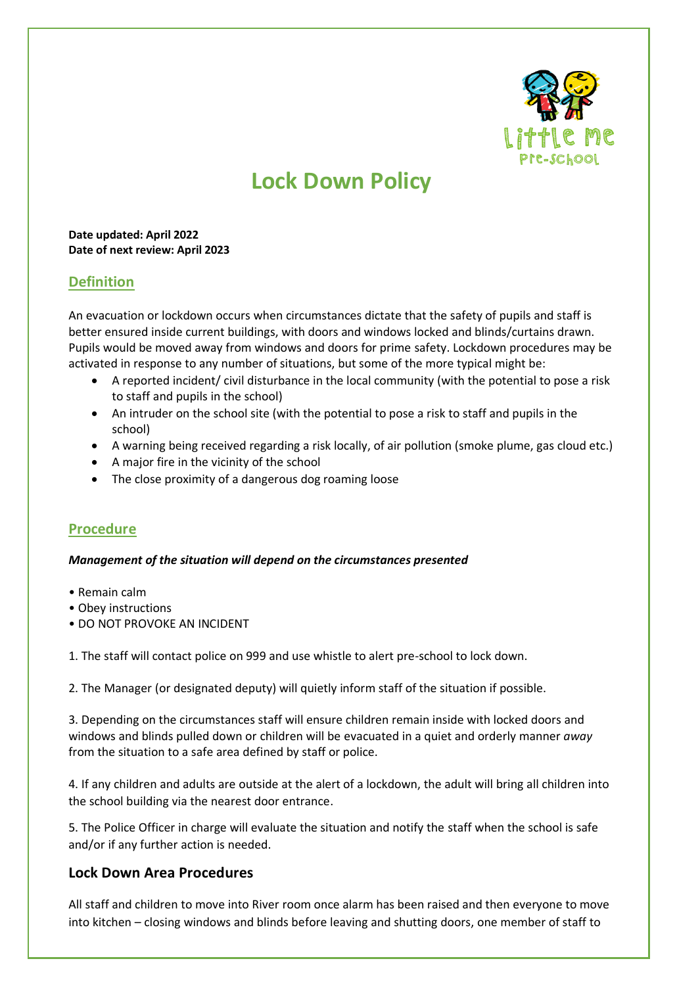

# **Lock Down Policy**

#### **Date updated: April 2022 Date of next review: April 2023**

## **Definition**

An evacuation or lockdown occurs when circumstances dictate that the safety of pupils and staff is better ensured inside current buildings, with doors and windows locked and blinds/curtains drawn. Pupils would be moved away from windows and doors for prime safety. Lockdown procedures may be activated in response to any number of situations, but some of the more typical might be:

- A reported incident/ civil disturbance in the local community (with the potential to pose a risk to staff and pupils in the school)
- An intruder on the school site (with the potential to pose a risk to staff and pupils in the school)
- A warning being received regarding a risk locally, of air pollution (smoke plume, gas cloud etc.)
- A major fire in the vicinity of the school
- The close proximity of a dangerous dog roaming loose

## **Procedure**

#### *Management of the situation will depend on the circumstances presented*

- Remain calm
- Obey instructions
- DO NOT PROVOKE AN INCIDENT

1. The staff will contact police on 999 and use whistle to alert pre-school to lock down.

2. The Manager (or designated deputy) will quietly inform staff of the situation if possible.

3. Depending on the circumstances staff will ensure children remain inside with locked doors and windows and blinds pulled down or children will be evacuated in a quiet and orderly manner *away*  from the situation to a safe area defined by staff or police.

4. If any children and adults are outside at the alert of a lockdown, the adult will bring all children into the school building via the nearest door entrance.

5. The Police Officer in charge will evaluate the situation and notify the staff when the school is safe and/or if any further action is needed.

## **Lock Down Area Procedures**

All staff and children to move into River room once alarm has been raised and then everyone to move into kitchen – closing windows and blinds before leaving and shutting doors, one member of staff to